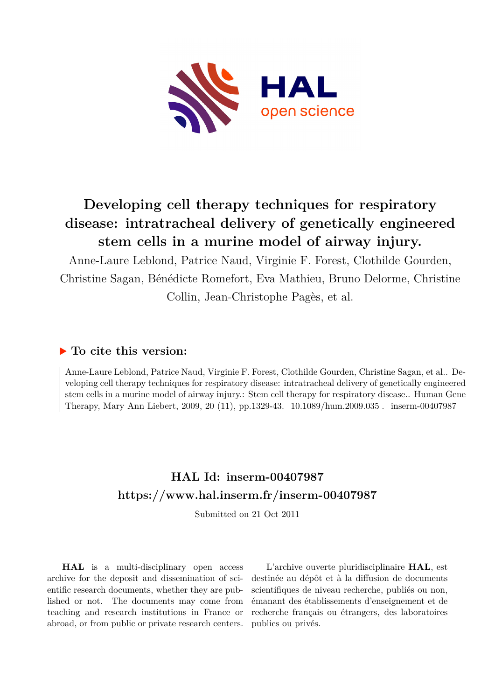

# **Developing cell therapy techniques for respiratory disease: intratracheal delivery of genetically engineered stem cells in a murine model of airway injury.**

Anne-Laure Leblond, Patrice Naud, Virginie F. Forest, Clothilde Gourden, Christine Sagan, Bénédicte Romefort, Eva Mathieu, Bruno Delorme, Christine Collin, Jean-Christophe Pagès, et al.

## **To cite this version:**

Anne-Laure Leblond, Patrice Naud, Virginie F. Forest, Clothilde Gourden, Christine Sagan, et al.. Developing cell therapy techniques for respiratory disease: intratracheal delivery of genetically engineered stem cells in a murine model of airway injury.: Stem cell therapy for respiratory disease.. Human Gene Therapy, Mary Ann Liebert, 2009, 20 (11), pp.1329-43.  $10.1089/\text{hum}.2009.035$ . inserm-00407987

## **HAL Id: inserm-00407987 <https://www.hal.inserm.fr/inserm-00407987>**

Submitted on 21 Oct 2011

**HAL** is a multi-disciplinary open access archive for the deposit and dissemination of scientific research documents, whether they are published or not. The documents may come from teaching and research institutions in France or abroad, or from public or private research centers.

L'archive ouverte pluridisciplinaire **HAL**, est destinée au dépôt et à la diffusion de documents scientifiques de niveau recherche, publiés ou non, émanant des établissements d'enseignement et de recherche français ou étrangers, des laboratoires publics ou privés.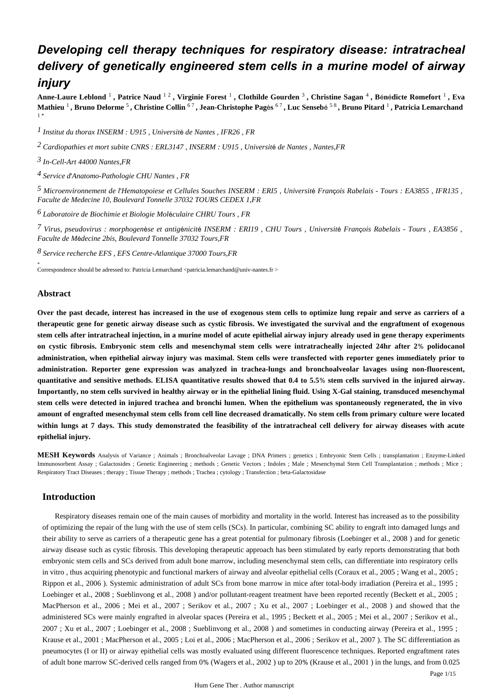## *Developing cell therapy techniques for respiratory disease: intratracheal delivery of genetically engineered stem cells in a murine model of airway injury*

**Anne-Laure Leblond** <sup>1</sup> **, Patrice Naud** 1 2 **, Virginie Forest** <sup>1</sup> **, Clothilde Gourden** <sup>3</sup> **, Christine Sagan** <sup>4</sup> **, B**é**n**é**dicte Romefort** <sup>1</sup> **, Eva Mathieu** <sup>1</sup> **, Bruno Delorme** <sup>5</sup> **, Christine Collin** 6 7 **, Jean-Christophe Pag**è**s** 6 7 **, Luc Senseb**é 5 8 **, Bruno Pitard** <sup>1</sup> **, Patricia Lemarchand**  1 \*

*Institut du thorax 1 INSERM : U915 , Universit*é *de Nantes , IFR26 , FR*

*Cardiopathies et mort subite 2 CNRS : ERL3147 , INSERM : U915 , Universit*é *de Nantes , Nantes,FR*

*In-Cell-Art 3 44000 Nantes,FR*

<sup>4</sup> Service d'Anatomo-Pathologie CHU Nantes, FR

*Microenvironnement de l Hematopoiese et Cellules Souches 5*  ' *INSERM : ERI5 , Universit*é *Fran*ç*ois Rabelais - Tours : EA3855 , IFR135 , Faculte de Medecine 10, Boulevard Tonnelle 37032 TOURS CEDEX 1,FR*

*Laboratoire de Biochimie et Biologie Mol culaire 6* <sup>é</sup> *CHRU Tours , FR*

*Virus, pseudovirus : morphogen se et antig nicit 7* <sup>è</sup> <sup>é</sup> <sup>é</sup> *INSERM : ERI19 , CHU Tours , Universit*é *Fran*ç*ois Rabelais - Tours , EA3856 , Faculte de M*é*decine 2bis, Boulevard Tonnelle 37032 Tours,FR*

*Service recherche 8 EFS , EFS Centre-Atlantique 37000 Tours,FR*

\* Correspondence should be adressed to: Patricia Lemarchand <patricia.lemarchand@univ-nantes.fr >

### **Abstract**

**Over the past decade, interest has increased in the use of exogenous stem cells to optimize lung repair and serve as carriers of a therapeutic gene for genetic airway disease such as cystic fibrosis. We investigated the survival and the engraftment of exogenous stem cells after intratracheal injection, in a murine model of acute epithelial airway injury already used in gene therapy experiments on cystic fibrosis. Embryonic stem cells and mesenchymal stem cells were intratracheally injected 24hr after 2**% **polidocanol administration, when epithelial airway injury was maximal. Stem cells were transfected with reporter genes immediately prior to administration. Reporter gene expression was analyzed in trachea-lungs and bronchoalveolar lavages using non-fluorescent, quantitative and sensitive methods. ELISA quantitative results showed that 0.4 to 5.5**% **stem cells survived in the injured airway. Importantly, no stem cells survived in healthy airway or in the epithelial lining fluid. Using X-Gal staining, transduced mesenchymal stem cells were detected in injured trachea and bronchi lumen. When the epithelium was spontaneously regenerated, the in vivo amount of engrafted mesenchymal stem cells from cell line decreased dramatically. No stem cells from primary culture were located within lungs at 7 days. This study demonstrated the feasibility of the intratracheal cell delivery for airway diseases with acute epithelial injury.**

**MESH Keywords** Analysis of Variance ; Animals ; Bronchoalveolar Lavage ; DNA Primers ; genetics ; Embryonic Stem Cells ; transplantation ; Enzyme-Linked Immunosorbent Assay ; Galactosides ; Genetic Engineering ; methods ; Genetic Vectors ; Indoles ; Male ; Mesenchymal Stem Cell Transplantation ; methods ; Mice ; Respiratory Tract Diseases ; therapy ; Tissue Therapy ; methods ; Trachea ; cytology ; Transfection ; beta-Galactosidase

## **Introduction**

Respiratory diseases remain one of the main causes of morbidity and mortality in the world. Interest has increased as to the possibility of optimizing the repair of the lung with the use of stem cells (SCs). In particular, combining SC ability to engraft into damaged lungs and their ability to serve as carriers of a therapeutic gene has a great potential for pulmonary fibrosis (Loebinger et al., 2008 ) and for genetic airway disease such as cystic fibrosis. This developing therapeutic approach has been stimulated by early reports demonstrating that both embryonic stem cells and SCs derived from adult bone marrow, including mesenchymal stem cells, can differentiate into respiratory cells in vitro, thus acquiring phenotypic and functional markers of airway and alveolar epithelial cells (Coraux et al., 2005; Wang et al., 2005; Rippon et al., 2006 ). Systemic administration of adult SCs from bone marrow in mice after total-body irradiation (Pereira et al., 1995 ; Loebinger et al., 2008 ; Sueblinvong et al., 2008 ) and/or pollutant-reagent treatment have been reported recently (Beckett et al., 2005 ; MacPherson et al., 2006 ; Mei et al., 2007 ; Serikov et al., 2007 ; Xu et al., 2007 ; Loebinger et al., 2008 ) and showed that the administered SCs were mainly engrafted in alveolar spaces (Pereira et al., 1995 ; Beckett et al., 2005 ; Mei et al., 2007 ; Serikov et al., 2007 ; Xu et al., 2007 ; Loebinger et al., 2008 ; Sueblinvong et al., 2008 ) and sometimes in conducting airway (Pereira et al., 1995 ; Krause et al., 2001 ; MacPherson et al., 2005 ; Loi et al., 2006 ; MacPherson et al., 2006 ; Serikov et al., 2007 ). The SC differentiation as pneumocytes (I or II) or airway epithelial cells was mostly evaluated using different fluorescence techniques. Reported engraftment rates of adult bone marrow SC-derived cells ranged from 0% (Wagers et al., 2002 ) up to 20% (Krause et al., 2001 ) in the lungs, and from 0.025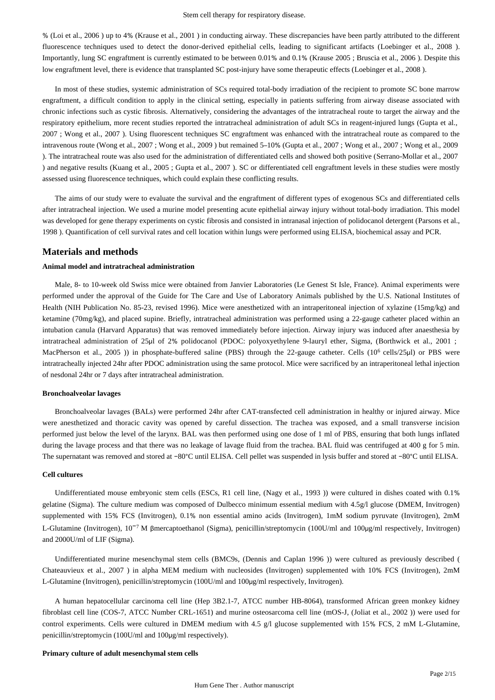% (Loi et al., 2006 ) up to 4% (Krause et al., 2001 ) in conducting airway. These discrepancies have been partly attributed to the different fluorescence techniques used to detect the donor-derived epithelial cells, leading to significant artifacts (Loebinger et al., 2008 ). Importantly, lung SC engraftment is currently estimated to be between 0.01% and 0.1% (Krause 2005 ; Bruscia et al., 2006 ). Despite this low engraftment level, there is evidence that transplanted SC post-injury have some therapeutic effects (Loebinger et al., 2008).

In most of these studies, systemic administration of SCs required total-body irradiation of the recipient to promote SC bone marrow engraftment, a difficult condition to apply in the clinical setting, especially in patients suffering from airway disease associated with chronic infections such as cystic fibrosis. Alternatively, considering the advantages of the intratracheal route to target the airway and the respiratory epithelium, more recent studies reported the intratracheal administration of adult SCs in reagent-injured lungs (Gupta et al., 2007 ; Wong et al., 2007 ). Using fluorescent techniques SC engraftment was enhanced with the intratracheal route as compared to the intravenous route (Wong et al., 2007 ; Wong et al., 2009 ) but remained 5–10% (Gupta et al., 2007 ; Wong et al., 2007 ; Wong et al., 2009 ). The intratracheal route was also used for the administration of differentiated cells and showed both positive (Serrano-Mollar et al., 2007 ) and negative results (Kuang et al., 2005 ; Gupta et al., 2007 ). SC or differentiated cell engraftment levels in these studies were mostly assessed using fluorescence techniques, which could explain these conflicting results.

The aims of our study were to evaluate the survival and the engraftment of different types of exogenous SCs and differentiated cells after intratracheal injection. We used a murine model presenting acute epithelial airway injury without total-body irradiation. This model was developed for gene therapy experiments on cystic fibrosis and consisted in intranasal injection of polidocanol detergent (Parsons et al., 1998 ). Quantification of cell survival rates and cell location within lungs were performed using ELISA, biochemical assay and PCR.

## **Materials and methods**

## **Animal model and intratracheal administration**

Male, 8- to 10-week old Swiss mice were obtained from Janvier Laboratories (Le Genest St Isle, France). Animal experiments were performed under the approval of the Guide for The Care and Use of Laboratory Animals published by the U.S. National Institutes of Health (NIH Publication No. 85-23, revised 1996). Mice were anesthetized with an intraperitoneal injection of xylazine (15mg/kg) and ketamine (70mg/kg), and placed supine. Briefly, intratracheal administration was performed using a 22-gauge catheter placed within an intubation canula (Harvard Apparatus) that was removed immediately before injection. Airway injury was induced after anaesthesia by intratracheal administration of 25µl of 2% polidocanol (PDOC: polyoxyethylene 9-lauryl ether, Sigma, (Borthwick et al., 2001 ; MacPherson et al., 2005 )) in phosphate-buffered saline (PBS) through the 22-gauge catheter. Cells  $(10^6 \text{ cells}/25 \text{µ})$  or PBS were intratracheally injected 24hr after PDOC administration using the same protocol. Mice were sacrificed by an intraperitoneal lethal injection of nesdonal 24hr or 7 days after intratracheal administration.

#### **Bronchoalveolar lavages**

Bronchoalveolar lavages (BALs) were performed 24hr after CAT-transfected cell administration in healthy or injured airway. Mice were anesthetized and thoracic cavity was opened by careful dissection. The trachea was exposed, and a small transverse incision performed just below the level of the larynx. BAL was then performed using one dose of 1 ml of PBS, ensuring that both lungs inflated during the lavage process and that there was no leakage of lavage fluid from the trachea. BAL fluid was centrifuged at 400 g for 5 min. The supernatant was removed and stored at −80°C until ELISA. Cell pellet was suspended in lysis buffer and stored at −80°C until ELISA.

#### **Cell cultures**

Undifferentiated mouse embryonic stem cells (ESCs, R1 cell line, (Nagy et al., 1993 )) were cultured in dishes coated with 0.1% gelatine (Sigma). The culture medium was composed of Dulbecco minimum essential medium with 4.5g/l glucose (DMEM, Invitrogen) supplemented with 15% FCS (Invitrogen), 0.1% non essential amino acids (Invitrogen), 1mM sodium pyruvate (Invitrogen), 2mM L-Glutamine (Invitrogen),  $10^{-7}$  M βmercaptoethanol (Sigma), penicillin/streptomycin (100U/ml and 100µg/ml respectively, Invitrogen) and 2000U/ml of LIF (Sigma).

Undifferentiated murine mesenchymal stem cells (BMC9s, (Dennis and Caplan 1996 )) were cultured as previously described ( Chateauvieux et al., 2007 ) in alpha MEM medium with nucleosides (Invitrogen) supplemented with 10% FCS (Invitrogen), 2mM L-Glutamine (Invitrogen), penicillin/streptomycin (100U/ml and 100μg/ml respectively, Invitrogen).

A human hepatocellular carcinoma cell line (Hep 3B2.1-7, ATCC number HB-8064), transformed African green monkey kidney fibroblast cell line (COS-7, ATCC Number CRL-1651) and murine osteosarcoma cell line (mOS-J, (Joliat et al., 2002 )) were used for control experiments. Cells were cultured in DMEM medium with 4.5 g/l glucose supplemented with 15% FCS, 2 mM L-Glutamine, penicillin/streptomycin (100U/ml and 100μg/ml respectively).

### **Primary culture of adult mesenchymal stem cells**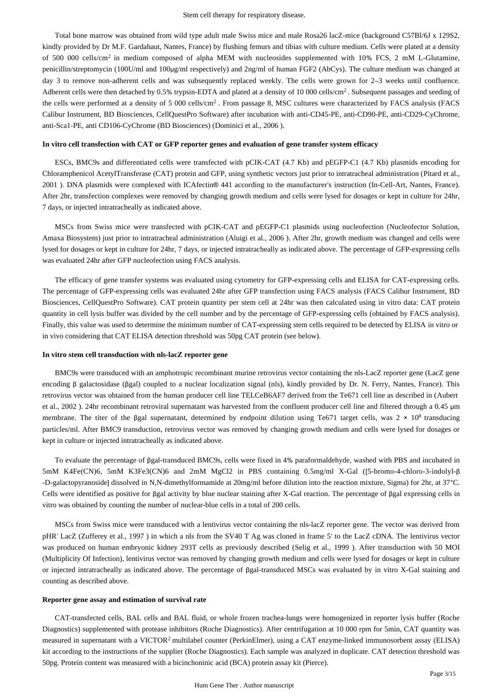Total bone marrow was obtained from wild type adult male Swiss mice and male Rosa26 lacZ-mice (background C57Bl/6J x 129S2, kindly provided by Dr M.F. Gardahaut, Nantes, France) by flushing femurs and tibias with culture medium. Cells were plated at a density of 500 000 cells/cm<sup>2</sup> in medium composed of alpha MEM with nucleosides supplemented with 10% FCS, 2 mM L-Glutamine, penicillin/streptomycin (100U/ml and 100μg/ml respectively) and 2ng/ml of human FGF2 (AbCys). The culture medium was changed at day 3 to remove non-adherent cells and was subsequently replaced weekly. The cells were grown for 2–3 weeks until confluence. Adherent cells were then detached by  $0.5\%$  trypsin-EDTA and plated at a density of 10 000 cells/cm<sup>2</sup>. Subsequent passages and seeding of the cells were performed at a density of 5 000 cells/cm<sup>2</sup>. From passage 8, MSC cultures were characterized by FACS analysis (FACS Calibur Instrument, BD Biosciences, CellQuestPro Software) after incubation with anti-CD45-PE, anti-CD90-PE, anti-CD29-CyChrome, anti-Sca1-PE, anti CD106-CyChrome (BD Biosciences) (Dominici et al., 2006 ).

#### **In vitro cell transfection with CAT or GFP reporter genes and evaluation of gene transfer system efficacy**

ESCs, BMC9s and differentiated cells were transfected with pCIK-CAT (4.7 Kb) and pEGFP-C1 (4.7 Kb) plasmids encoding for Chloramphenicol AcetylTransferase (CAT) protein and GFP, using synthetic vectors just prior to intratracheal administration (Pitard et al., 2001 ). DNA plasmids were complexed with ICAfectin® 441 according to the manufacturer's instruction (In-Cell-Art, Nantes, France). After 2hr, transfection complexes were removed by changing growth medium and cells were lysed for dosages or kept in culture for 24hr, 7 days, or injected intratracheally as indicated above.

MSCs from Swiss mice were transfected with pCIK-CAT and pEGFP-C1 plasmids using nucleofection (Nucleofector Solution, Amaxa Biosystem) just prior to intratracheal administration (Aluigi et al., 2006 ). After 2hr, growth medium was changed and cells were lysed for dosages or kept in culture for 24hr, 7 days, or injected intratracheally as indicated above. The percentage of GFP-expressing cells was evaluated 24hr after GFP nucleofection using FACS analysis.

The efficacy of gene transfer systems was evaluated using cytometry for GFP-expressing cells and ELISA for CAT-expressing cells. The percentage of GFP-expressing cells was evaluated 24hr after GFP transfection using FACS analysis (FACS Calibur Instrument, BD Biosciences, CellQuestPro Software). CAT protein quantity per stem cell at 24hr was then calculated using in vitro data: CAT protein quantity in cell lysis buffer was divided by the cell number and by the percentage of GFP-expressing cells (obtained by FACS analysis). Finally, this value was used to determine the minimum number of CAT-expressing stem cells required to be detected by ELISA in vitro or in vivo considering that CAT ELISA detection threshold was 50pg CAT protein (see below).

#### **In vitro stem cell transduction with nls-lacZ reporter gene**

BMC9s were transduced with an amphotropic recombinant murine retrovirus vector containing the nls-LacZ reporter gene (LacZ gene encoding β galactosidase (βgal) coupled to a nuclear localization signal (nls), kindly provided by Dr. N. Ferry, Nantes, France). This retrovirus vector was obtained from the human producer cell line TELCeB6AF7 derived from the Te671 cell line as described in (Aubert et al., 2002 ). 24hr recombinant retroviral supernatant was harvested from the confluent producer cell line and filtered through a 0.45 μm membrane. The titer of the βgal supernatant, determined by endpoint dilution using Te671 target cells, was  $2 \times 10^8$  transducing particles/ml. After BMC9 transduction, retrovirus vector was removed by changing growth medium and cells were lysed for dosages or kept in culture or injected intratracheally as indicated above.

To evaluate the percentage of βgal-transduced BMC9s, cells were fixed in 4% paraformaldehyde, washed with PBS and incubated in 5mM K4Fe(CN)6, 5mM K3Fe3(CN)6 and 2mM MgCl2 in PBS containing 0.5mg/ml X-Gal ([5-bromo-4-chloro-3-indolyl-β -D-galactopyranoside] dissolved in N,N-dimethylformamide at 20mg/ml before dilution into the reaction mixture, Sigma) for 2hr, at 37°C. Cells were identified as positive for βgal activity by blue nuclear staining after X-Gal reaction. The percentage of βgal expressing cells in vitro was obtained by counting the number of nuclear-blue cells in a total of 200 cells.

MSCs from Swiss mice were transduced with a lentivirus vector containing the nls-lacZ reporter gene. The vector was derived from pHR' LacZ (Zufferey et al., 1997 ) in which a nls from the SV40 T Ag was cloned in frame 5' to the LacZ cDNA. The lentivirus vector was produced on human embryonic kidney 293T cells as previously described (Selig et al., 1999 ). After transduction with 50 MOI (Multiplicity Of Infection), lentivirus vector was removed by changing growth medium and cells were lysed for dosages or kept in culture or injected intratracheally as indicated above. The percentage of βgal-transduced MSCs was evaluated by in vitro X-Gal staining and counting as described above.

#### **Reporter gene assay and estimation of survival rate**

CAT-transfected cells, BAL cells and BAL fluid, or whole frozen trachea-lungs were homogenized in reporter lysis buffer (Roche Diagnostics) supplemented with protease inhibitors (Roche Diagnostics). After centrifugation at 10 000 rpm for 5min, CAT quantity was measured in supernatant with a VICTOR<sup>2</sup> multilabel counter (PerkinElmer), using a CAT enzyme-linked immunosorbent assay (ELISA) kit according to the instructions of the supplier (Roche Diagnostics). Each sample was analyzed in duplicate. CAT detection threshold was 50pg. Protein content was measured with a bicinchoninic acid (BCA) protein assay kit (Pierce).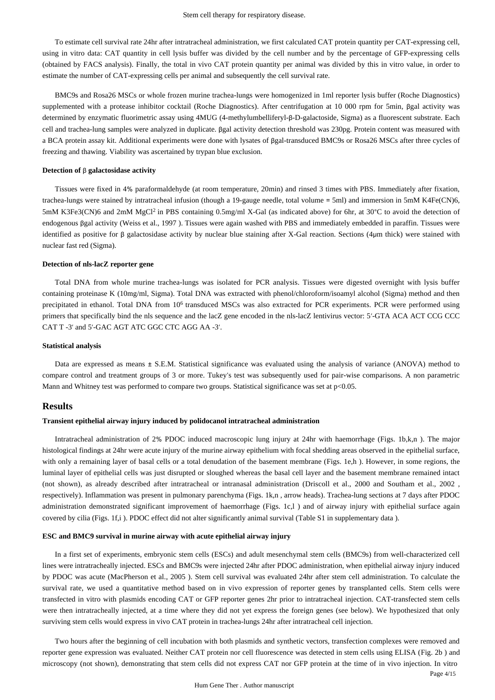To estimate cell survival rate 24hr after intratracheal administration, we first calculated CAT protein quantity per CAT-expressing cell, using in vitro data: CAT quantity in cell lysis buffer was divided by the cell number and by the percentage of GFP-expressing cells (obtained by FACS analysis). Finally, the total in vivo CAT protein quantity per animal was divided by this in vitro value, in order to estimate the number of CAT-expressing cells per animal and subsequently the cell survival rate.

BMC9s and Rosa26 MSCs or whole frozen murine trachea-lungs were homogenized in 1ml reporter lysis buffer (Roche Diagnostics) supplemented with a protease inhibitor cocktail (Roche Diagnostics). After centrifugation at 10 000 rpm for 5min, βgal activity was determined by enzymatic fluorimetric assay using 4MUG (4-methylumbelliferyl-β-D-galactoside, Sigma) as a fluorescent substrate. Each cell and trachea-lung samples were analyzed in duplicate. βgal activity detection threshold was 230pg. Protein content was measured with a BCA protein assay kit. Additional experiments were done with lysates of βgal-transduced BMC9s or Rosa26 MSCs after three cycles of freezing and thawing. Viability was ascertained by trypan blue exclusion.

### **Detection of** β **galactosidase activity**

Tissues were fixed in 4% paraformaldehyde (at room temperature, 20min) and rinsed 3 times with PBS. Immediately after fixation, trachea-lungs were stained by intratracheal infusion (though a 19-gauge needle, total volume = 5ml) and immersion in 5mM K4Fe(CN)6, 5mM K3Fe3(CN)6 and 2mM MgCl<sup>2</sup> in PBS containing 0.5mg/ml X-Gal (as indicated above) for 6hr, at 30°C to avoid the detection of endogenous βgal activity (Weiss et al., 1997 ). Tissues were again washed with PBS and immediately embedded in paraffin. Tissues were identified as positive for β galactosidase activity by nuclear blue staining after X-Gal reaction. Sections (4μm thick) were stained with nuclear fast red (Sigma).

#### **Detection of nls-lacZ reporter gene**

Total DNA from whole murine trachea-lungs was isolated for PCR analysis. Tissues were digested overnight with lysis buffer containing proteinase K (10mg/ml, Sigma). Total DNA was extracted with phenol/chloroform/isoamyl alcohol (Sigma) method and then precipitated in ethanol. Total DNA from 10<sup>6</sup> transduced MSCs was also extracted for PCR experiments. PCR were performed using primers that specifically bind the nls sequence and the lacZ gene encoded in the nls-lacZ lentivirus vector: 5′-GTA ACA ACT CCG CCC CAT T -3′ and 5′-GAC AGT ATC GGC CTC AGG AA -3′.

#### **Statistical analysis**

Data are expressed as means ± S.E.M. Statistical significance was evaluated using the analysis of variance (ANOVA) method to compare control and treatment groups of 3 or more. Tukey's test was subsequently used for pair-wise comparisons. A non parametric Mann and Whitney test was performed to compare two groups. Statistical significance was set at  $p<0.05$ .

## **Results**

#### **Transient epithelial airway injury induced by polidocanol intratracheal administration**

Intratracheal administration of 2% PDOC induced macroscopic lung injury at 24hr with haemorrhage (Figs. 1b,k,n ). The major histological findings at 24hr were acute injury of the murine airway epithelium with focal shedding areas observed in the epithelial surface, with only a remaining layer of basal cells or a total denudation of the basement membrane (Figs. 1e,h). However, in some regions, the luminal layer of epithelial cells was just disrupted or sloughed whereas the basal cell layer and the basement membrane remained intact (not shown), as already described after intratracheal or intranasal administration (Driscoll et al., 2000 and Southam et al., 2002 , respectively). Inflammation was present in pulmonary parenchyma (Figs. 1k,n , arrow heads). Trachea-lung sections at 7 days after PDOC administration demonstrated significant improvement of haemorrhage (Figs. 1c,l ) and of airway injury with epithelial surface again covered by cilia (Figs. 1f,i ). PDOC effect did not alter significantly animal survival (Table S1 in supplementary data ).

#### **ESC and BMC9 survival in murine airway with acute epithelial airway injury**

In a first set of experiments, embryonic stem cells (ESCs) and adult mesenchymal stem cells (BMC9s) from well-characterized cell lines were intratracheally injected. ESCs and BMC9s were injected 24hr after PDOC administration, when epithelial airway injury induced by PDOC was acute (MacPherson et al., 2005 ). Stem cell survival was evaluated 24hr after stem cell administration. To calculate the survival rate, we used a quantitative method based on in vivo expression of reporter genes by transplanted cells. Stem cells were transfected in vitro with plasmids encoding CAT or GFP reporter genes 2hr prior to intratracheal injection. CAT-transfected stem cells were then intratracheally injected, at a time where they did not yet express the foreign genes (see below). We hypothesized that only surviving stem cells would express in vivo CAT protein in trachea-lungs 24hr after intratracheal cell injection.

Two hours after the beginning of cell incubation with both plasmids and synthetic vectors, transfection complexes were removed and reporter gene expression was evaluated. Neither CAT protein nor cell fluorescence was detected in stem cells using ELISA (Fig. 2b ) and microscopy (not shown), demonstrating that stem cells did not express CAT nor GFP protein at the time of in vivo injection. In vitro

Page 4/15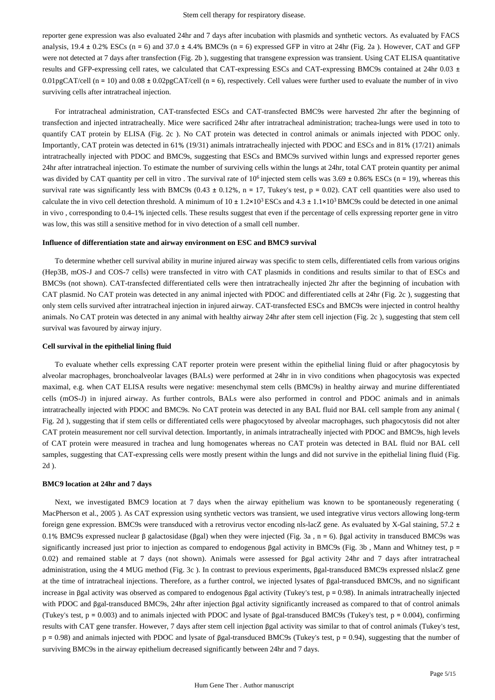reporter gene expression was also evaluated 24hr and 7 days after incubation with plasmids and synthetic vectors. As evaluated by FACS analysis,  $19.4 \pm 0.2\%$  ESCs (n = 6) and  $37.0 \pm 4.4\%$  BMC9s (n = 6) expressed GFP in vitro at 24hr (Fig. 2a). However, CAT and GFP were not detected at 7 days after transfection (Fig. 2b), suggesting that transgene expression was transient. Using CAT ELISA quantitative results and GFP-expressing cell rates, we calculated that CAT-expressing ESCs and CAT-expressing BMC9s contained at 24hr 0.03 ± 0.01pgCAT/cell (n = 10) and 0.08  $\pm$  0.02pgCAT/cell (n = 6), respectively. Cell values were further used to evaluate the number of in vivo surviving cells after intratracheal injection.

For intratracheal administration, CAT-transfected ESCs and CAT-transfected BMC9s were harvested 2hr after the beginning of transfection and injected intratracheally. Mice were sacrificed 24hr after intratracheal administration; trachea-lungs were used in toto to quantify CAT protein by ELISA (Fig. 2c). No CAT protein was detected in control animals or animals injected with PDOC only. Importantly, CAT protein was detected in 61% (19/31) animals intratracheally injected with PDOC and ESCs and in 81% (17/21) animals intratracheally injected with PDOC and BMC9s, suggesting that ESCs and BMC9s survived within lungs and expressed reporter genes 24hr after intratracheal injection. To estimate the number of surviving cells within the lungs at 24hr, total CAT protein quantity per animal was divided by CAT quantity per cell in vitro. The survival rate of  $10^6$  injected stem cells was  $3.69 \pm 0.86\%$  ESCs (n = 19), whereas this survival rate was significantly less with BMC9s (0.43  $\pm$  0.12%, n = 17, Tukey's test, p = 0.02). CAT cell quantities were also used to calculate the in vivo cell detection threshold. A minimum of  $10 \pm 1.2 \times 10^3$  ESCs and  $4.3 \pm 1.1 \times 10^3$  BMC9s could be detected in one animal in vivo , corresponding to 0.4–1% injected cells. These results suggest that even if the percentage of cells expressing reporter gene in vitro was low, this was still a sensitive method for in vivo detection of a small cell number.

## **Influence of differentiation state and airway environment on ESC and BMC9 survival**

To determine whether cell survival ability in murine injured airway was specific to stem cells, differentiated cells from various origins (Hep3B, mOS-J and COS-7 cells) were transfected in vitro with CAT plasmids in conditions and results similar to that of ESCs and BMC9s (not shown). CAT-transfected differentiated cells were then intratracheally injected 2hr after the beginning of incubation with CAT plasmid. No CAT protein was detected in any animal injected with PDOC and differentiated cells at 24hr (Fig. 2c ), suggesting that only stem cells survived after intratracheal injection in injured airway. CAT-transfected ESCs and BMC9s were injected in control healthy animals. No CAT protein was detected in any animal with healthy airway 24hr after stem cell injection (Fig. 2c ), suggesting that stem cell survival was favoured by airway injury.

#### **Cell survival in the epithelial lining fluid**

To evaluate whether cells expressing CAT reporter protein were present within the epithelial lining fluid or after phagocytosis by alveolar macrophages, bronchoalveolar lavages (BALs) were performed at 24hr in in vivo conditions when phagocytosis was expected maximal, e.g. when CAT ELISA results were negative: mesenchymal stem cells (BMC9s) in healthy airway and murine differentiated cells (mOS-J) in injured airway. As further controls, BALs were also performed in control and PDOC animals and in animals intratracheally injected with PDOC and BMC9s. No CAT protein was detected in any BAL fluid nor BAL cell sample from any animal ( Fig. 2d ), suggesting that if stem cells or differentiated cells were phagocytosed by alveolar macrophages, such phagocytosis did not alter CAT protein measurement nor cell survival detection. Importantly, in animals intratracheally injected with PDOC and BMC9s, high levels of CAT protein were measured in trachea and lung homogenates whereas no CAT protein was detected in BAL fluid nor BAL cell samples, suggesting that CAT-expressing cells were mostly present within the lungs and did not survive in the epithelial lining fluid (Fig. 2d ).

#### **BMC9 location at 24hr and 7 days**

Next, we investigated BMC9 location at 7 days when the airway epithelium was known to be spontaneously regenerating ( MacPherson et al., 2005 ). As CAT expression using synthetic vectors was transient, we used integrative virus vectors allowing long-term foreign gene expression. BMC9s were transduced with a retrovirus vector encoding nls-lacZ gene. As evaluated by X-Gal staining, 57.2  $\pm$ 0.1% BMC9s expressed nuclear β galactosidase (βgal) when they were injected (Fig. 3a , n = 6). βgal activity in transduced BMC9s was significantly increased just prior to injection as compared to endogenous βgal activity in BMC9s (Fig. 3b , Mann and Whitney test, p = 0.02) and remained stable at 7 days (not shown). Animals were assessed for βgal activity 24hr and 7 days after intratracheal administration, using the 4 MUG method (Fig. 3c ). In contrast to previous experiments, βgal-transduced BMC9s expressed nlslacZ gene at the time of intratracheal injections. Therefore, as a further control, we injected lysates of βgal-transduced BMC9s, and no significant increase in βgal activity was observed as compared to endogenous βgal activity (Tukey's test, p = 0.98). In animals intratracheally injected with PDOC and βgal-transduced BMC9s, 24hr after injection βgal activity significantly increased as compared to that of control animals (Tukey's test,  $p = 0.003$ ) and to animals injected with PDOC and lysate of βgal-transduced BMC9s (Tukey's test,  $p = 0.004$ ), confirming results with CAT gene transfer. However, 7 days after stem cell injection βgal activity was similar to that of control animals (Tukey's test, p = 0.98) and animals injected with PDOC and lysate of βgal-transduced BMC9s (Tukey's test, p = 0.94), suggesting that the number of surviving BMC9s in the airway epithelium decreased significantly between 24hr and 7 days.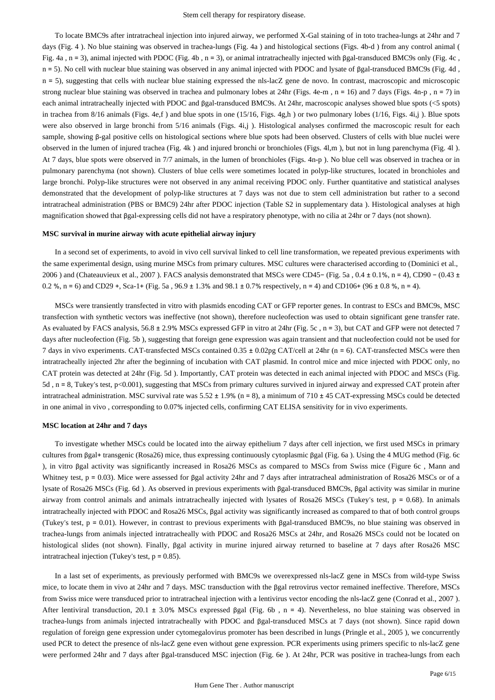To locate BMC9s after intratracheal injection into injured airway, we performed X-Gal staining of in toto trachea-lungs at 24hr and 7 days (Fig. 4 ). No blue staining was observed in trachea-lungs (Fig. 4a ) and histological sections (Figs. 4b-d ) from any control animal ( Fig. 4a , n = 3), animal injected with PDOC (Fig. 4b , n = 3), or animal intratracheally injected with βgal-transduced BMC9s only (Fig. 4c , n = 5). No cell with nuclear blue staining was observed in any animal injected with PDOC and lysate of βgal-transduced BMC9s (Fig. 4d, n = 5), suggesting that cells with nuclear blue staining expressed the nls-lacZ gene de novo. In contrast, macroscopic and microscopic strong nuclear blue staining was observed in trachea and pulmonary lobes at 24hr (Figs. 4e-m,  $n = 16$ ) and 7 days (Figs. 4n-p,  $n = 7$ ) in each animal intratracheally injected with PDOC and βgal-transduced BMC9s. At 24hr, macroscopic analyses showed blue spots (<5 spots) in trachea from  $8/16$  animals (Figs. 4e,f) and blue spots in one (15/16, Figs. 4g,h) or two pulmonary lobes (1/16, Figs. 4i,j). Blue spots were also observed in large bronchi from 5/16 animals (Figs. 4i,j). Histological analyses confirmed the macroscopic result for each sample, showing β-gal positive cells on histological sections where blue spots had been observed. Clusters of cells with blue nuclei were observed in the lumen of injured trachea (Fig. 4k ) and injured bronchi or bronchioles (Figs. 4l,m ), but not in lung parenchyma (Fig. 4l ). At 7 days, blue spots were observed in 7/7 animals, in the lumen of bronchioles (Figs. 4n-p ). No blue cell was observed in trachea or in pulmonary parenchyma (not shown). Clusters of blue cells were sometimes located in polyp-like structures, located in bronchioles and large bronchi. Polyp-like structures were not observed in any animal receiving PDOC only. Further quantitative and statistical analyses demonstrated that the development of polyp-like structures at 7 days was not due to stem cell administration but rather to a second intratracheal administration (PBS or BMC9) 24hr after PDOC injection (Table S2 in supplementary data ). Histological analyses at high magnification showed that βgal-expressing cells did not have a respiratory phenotype, with no cilia at 24hr or 7 days (not shown).

#### **MSC survival in murine airway with acute epithelial airway injury**

In a second set of experiments, to avoid in vivo cell survival linked to cell line transformation, we repeated previous experiments with the same experimental design, using murine MSCs from primary cultures. MSC cultures were characterised according to (Dominici et al., 2006 ) and (Chateauvieux et al., 2007 ). FACS analysis demonstrated that MSCs were CD45− (Fig. 5a , 0.4 ± 0.1%, n = 4), CD90 − (0.43 ± 0.2 %, n = 6) and CD29 +, Sca-1+ (Fig. 5a,  $96.9 \pm 1.3$ % and  $98.1 \pm 0.7$ % respectively, n = 4) and CD106+ (96  $\pm$  0.8 %, n = 4).

MSCs were transiently transfected in vitro with plasmids encoding CAT or GFP reporter genes. In contrast to ESCs and BMC9s, MSC transfection with synthetic vectors was ineffective (not shown), therefore nucleofection was used to obtain significant gene transfer rate. As evaluated by FACS analysis, 56.8 ± 2.9% MSCs expressed GFP in vitro at 24hr (Fig. 5c, n = 3), but CAT and GFP were not detected 7 days after nucleofection (Fig. 5b ), suggesting that foreign gene expression was again transient and that nucleofection could not be used for 7 days in vivo experiments. CAT-transfected MSCs contained 0.35 ± 0.02pg CAT/cell at 24hr (n = 6). CAT-transfected MSCs were then intratracheally injected 2hr after the beginning of incubation with CAT plasmid. In control mice and mice injected with PDOC only, no CAT protein was detected at 24hr (Fig. 5d ). Importantly, CAT protein was detected in each animal injected with PDOC and MSCs (Fig. 5d , n = 8, Tukey's test, p<0.001), suggesting that MSCs from primary cultures survived in injured airway and expressed CAT protein after intratracheal administration. MSC survival rate was  $5.52 \pm 1.9\%$  (n = 8), a minimum of 710  $\pm$  45 CAT-expressing MSCs could be detected in one animal in vivo , corresponding to 0.07% injected cells, confirming CAT ELISA sensitivity for in vivo experiments.

#### **MSC location at 24hr and 7 days**

To investigate whether MSCs could be located into the airway epithelium 7 days after cell injection, we first used MSCs in primary cultures from βgal+ transgenic (Rosa26) mice, thus expressing continuously cytoplasmic βgal (Fig. 6a ). Using the 4 MUG method (Fig. 6c ), in vitro βgal activity was significantly increased in Rosa26 MSCs as compared to MSCs from Swiss mice (Figure 6c , Mann and Whitney test, p = 0.03). Mice were assessed for βgal activity 24hr and 7 days after intratracheal administration of Rosa26 MSCs or of a lysate of Rosa26 MSCs (Fig. 6d ). As observed in previous experiments with βgal-transduced BMC9s, βgal activity was similar in murine airway from control animals and animals intratracheally injected with lysates of Rosa26 MSCs (Tukey's test,  $p = 0.68$ ). In animals intratracheally injected with PDOC and Rosa26 MSCs, βgal activity was significantly increased as compared to that of both control groups (Tukey's test, p = 0.01). However, in contrast to previous experiments with βgal-transduced BMC9s, no blue staining was observed in trachea-lungs from animals injected intratracheally with PDOC and Rosa26 MSCs at 24hr, and Rosa26 MSCs could not be located on histological slides (not shown). Finally, βgal activity in murine injured airway returned to baseline at 7 days after Rosa26 MSC intratracheal injection (Tukey's test, p = 0.85).

In a last set of experiments, as previously performed with BMC9s we overexpressed nls-lacZ gene in MSCs from wild-type Swiss mice, to locate them in vivo at 24hr and 7 days. MSC transduction with the βgal retrovirus vector remained ineffective. Therefore, MSCs from Swiss mice were transduced prior to intratracheal injection with a lentivirus vector encoding the nls-lacZ gene (Conrad et al., 2007 ). After lentiviral transduction, 20.1 ± 3.0% MSCs expressed βgal (Fig. 6b , n = 4). Nevertheless, no blue staining was observed in trachea-lungs from animals injected intratracheally with PDOC and βgal-transduced MSCs at 7 days (not shown). Since rapid down regulation of foreign gene expression under cytomegalovirus promoter has been described in lungs (Pringle et al., 2005 ), we concurrently used PCR to detect the presence of nls-lacZ gene even without gene expression. PCR experiments using primers specific to nls-lacZ gene were performed 24hr and 7 days after βgal-transduced MSC injection (Fig. 6e ). At 24hr, PCR was positive in trachea-lungs from each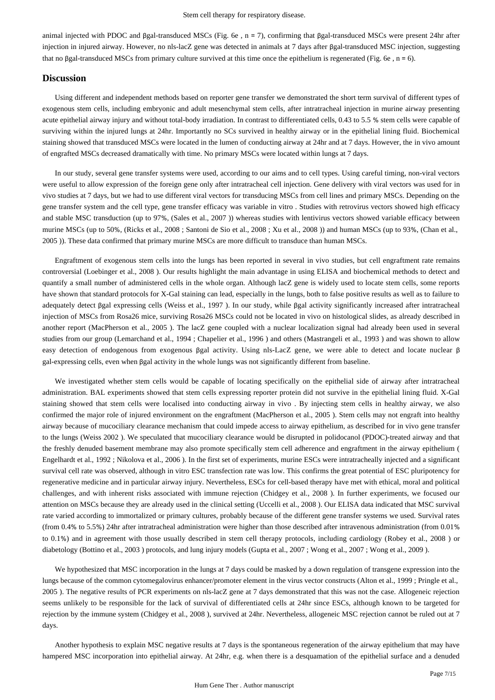animal injected with PDOC and βgal-transduced MSCs (Fig. 6e , n = 7), confirming that βgal-transduced MSCs were present 24hr after injection in injured airway. However, no nls-lacZ gene was detected in animals at 7 days after βgal-transduced MSC injection, suggesting that no βgal-transduced MSCs from primary culture survived at this time once the epithelium is regenerated (Fig. 6e, n = 6).

## **Discussion**

Using different and independent methods based on reporter gene transfer we demonstrated the short term survival of different types of exogenous stem cells, including embryonic and adult mesenchymal stem cells, after intratracheal injection in murine airway presenting acute epithelial airway injury and without total-body irradiation. In contrast to differentiated cells, 0.43 to 5.5 % stem cells were capable of surviving within the injured lungs at 24hr. Importantly no SCs survived in healthy airway or in the epithelial lining fluid. Biochemical staining showed that transduced MSCs were located in the lumen of conducting airway at 24hr and at 7 days. However, the in vivo amount of engrafted MSCs decreased dramatically with time. No primary MSCs were located within lungs at 7 days.

In our study, several gene transfer systems were used, according to our aims and to cell types. Using careful timing, non-viral vectors were useful to allow expression of the foreign gene only after intratracheal cell injection. Gene delivery with viral vectors was used for in vivo studies at 7 days, but we had to use different viral vectors for transducing MSCs from cell lines and primary MSCs. Depending on the gene transfer system and the cell type, gene transfer efficacy was variable in vitro . Studies with retrovirus vectors showed high efficacy and stable MSC transduction (up to 97%, (Sales et al., 2007 )) whereas studies with lentivirus vectors showed variable efficacy between murine MSCs (up to 50%, (Ricks et al., 2008 ; Santoni de Sio et al., 2008 ; Xu et al., 2008 )) and human MSCs (up to 93%, (Chan et al., 2005 )). These data confirmed that primary murine MSCs are more difficult to transduce than human MSCs.

Engraftment of exogenous stem cells into the lungs has been reported in several in vivo studies, but cell engraftment rate remains controversial (Loebinger et al., 2008 ). Our results highlight the main advantage in using ELISA and biochemical methods to detect and quantify a small number of administered cells in the whole organ. Although lacZ gene is widely used to locate stem cells, some reports have shown that standard protocols for X-Gal staining can lead, especially in the lungs, both to false positive results as well as to failure to adequately detect βgal expressing cells (Weiss et al., 1997 ). In our study, while βgal activity significantly increased after intratracheal injection of MSCs from Rosa26 mice, surviving Rosa26 MSCs could not be located in vivo on histological slides, as already described in another report (MacPherson et al., 2005 ). The lacZ gene coupled with a nuclear localization signal had already been used in several studies from our group (Lemarchand et al., 1994 ; Chapelier et al., 1996 ) and others (Mastrangeli et al., 1993 ) and was shown to allow easy detection of endogenous from exogenous βgal activity. Using nls-LacZ gene, we were able to detect and locate nuclear β gal-expressing cells, even when βgal activity in the whole lungs was not significantly different from baseline.

We investigated whether stem cells would be capable of locating specifically on the epithelial side of airway after intratracheal administration. BAL experiments showed that stem cells expressing reporter protein did not survive in the epithelial lining fluid. X-Gal staining showed that stem cells were localised into conducting airway in vivo . By injecting stem cells in healthy airway, we also confirmed the major role of injured environment on the engraftment (MacPherson et al., 2005 ). Stem cells may not engraft into healthy airway because of mucociliary clearance mechanism that could impede access to airway epithelium, as described for in vivo gene transfer to the lungs (Weiss 2002 ). We speculated that mucociliary clearance would be disrupted in polidocanol (PDOC)-treated airway and that the freshly denuded basement membrane may also promote specifically stem cell adherence and engraftment in the airway epithelium ( Engelhardt et al., 1992 ; Nikolova et al., 2006 ). In the first set of experiments, murine ESCs were intratracheally injected and a significant survival cell rate was observed, although in vitro ESC transfection rate was low. This confirms the great potential of ESC pluripotency for regenerative medicine and in particular airway injury. Nevertheless, ESCs for cell-based therapy have met with ethical, moral and political challenges, and with inherent risks associated with immune rejection (Chidgey et al., 2008 ). In further experiments, we focused our attention on MSCs because they are already used in the clinical setting (Uccelli et al., 2008 ). Our ELISA data indicated that MSC survival rate varied according to immortalized or primary cultures, probably because of the different gene transfer systems we used. Survival rates (from 0.4% to 5.5%) 24hr after intratracheal administration were higher than those described after intravenous administration (from 0.01% to 0.1%) and in agreement with those usually described in stem cell therapy protocols, including cardiology (Robey et al., 2008 ) or diabetology (Bottino et al., 2003 ) protocols, and lung injury models (Gupta et al., 2007 ; Wong et al., 2007 ; Wong et al., 2009 ).

We hypothesized that MSC incorporation in the lungs at 7 days could be masked by a down regulation of transgene expression into the lungs because of the common cytomegalovirus enhancer/promoter element in the virus vector constructs (Alton et al., 1999 ; Pringle et al., 2005 ). The negative results of PCR experiments on nls-lacZ gene at 7 days demonstrated that this was not the case. Allogeneic rejection seems unlikely to be responsible for the lack of survival of differentiated cells at 24hr since ESCs, although known to be targeted for rejection by the immune system (Chidgey et al., 2008 ), survived at 24hr. Nevertheless, allogeneic MSC rejection cannot be ruled out at 7 days.

Another hypothesis to explain MSC negative results at 7 days is the spontaneous regeneration of the airway epithelium that may have hampered MSC incorporation into epithelial airway. At 24hr, e.g. when there is a desquamation of the epithelial surface and a denuded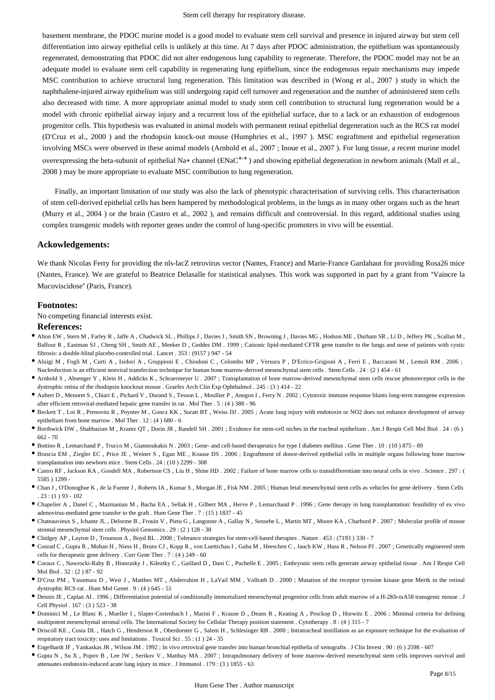basement membrane, the PDOC murine model is a good model to evaluate stem cell survival and presence in injured airway but stem cell differentiation into airway epithelial cells is unlikely at this time. At 7 days after PDOC administration, the epithelium was spontaneously regenerated, demonstrating that PDOC did not alter endogenous lung capability to regenerate. Therefore, the PDOC model may not be an adequate model to evaluate stem cell capability in regenerating lung epithelium, since the endogenous repair mechanisms may impede MSC contribution to achieve structural lung regeneration. This limitation was described in (Wong et al., 2007 ) study in which the naphthalene-injured airway epithelium was still undergoing rapid cell turnover and regeneration and the number of administered stem cells also decreased with time. A more appropriate animal model to study stem cell contribution to structural lung regeneration would be a model with chronic epithelial airway injury and a recurrent loss of the epithelial surface, due to a lack or an exhaustion of endogenous progenitor cells. This hypothesis was evaluated in animal models with permanent retinal epithelial degeneration such as the RCS rat model (D'Cruz et al., 2000 ) and the rhodopsin knock-out mouse (Humphries et al., 1997 ). MSC engraftment and epithelial regeneration involving MSCs were observed in these animal models (Arnhold et al., 2007 ; Inoue et al., 2007 ). For lung tissue, a recent murine model overexpressing the beta-subunit of epithelial Na+ channel ( $ENaC^{+/+}$ ) and showing epithelial degeneration in newborn animals (Mall et al., 2008 ) may be more appropriate to evaluate MSC contribution to lung regeneration.

Finally, an important limitation of our study was also the lack of phenotypic characterisation of surviving cells. This characterisation of stem cell-derived epithelial cells has been hampered by methodological problems, in the lungs as in many other organs such as the heart (Murry et al., 2004 ) or the brain (Castro et al., 2002 ), and remains difficult and controversial. In this regard, additional studies using complex transgenic models with reporter genes under the control of lung-specific promoters in vivo will be essential.

## **Ackowledgements:**

We thank Nicolas Ferry for providing the nls-lacZ retrovirus vector (Nantes, France) and Marie-France Gardahaut for providing Rosa26 mice (Nantes, France). We are grateful to Beatrice Delasalle for statistical analyses. This work was supported in part by a grant from "Vaincre la Mucoviscidose" (Paris, France).

## **Footnotes:**

No competing financial interests exist.

### **References:**

- Alton EW , Stern M , Farley R , Jaffe A , Chadwick SL , Phillips J , Davies J , Smith SN , Browning J , Davies MG , Hodson ME , Durham SR , Li D , Jeffery PK , Scallan M , Balfour R , Eastman SJ , Cheng SH , Smith AE , Meeker D , Geddes DM . 1999 ; Cationic lipid-mediated CFTR gene transfer to the lungs and nose of patients with cystic fibrosis: a double-blind placebo-controlled trial . Lancet . 353 : (9157 ) 947 - 54
- Aluigi M , Fogli M , Curti A , Isidori A , Gruppioni E , Chiodoni C , Colombo MP , Versura P , D'Errico-Grigioni A , Ferri E , Baccarani M , Lemoli RM . 2006 ; Nucleofection is an efficient nonviral transfection technique for human bone marrow-derived mesenchymal stem cells . Stem Cells . 24 : (2 ) 454 - 61
- Arnhold S, Absenger Y, Klein H, Addicks K, Schraermeyer U, 2007; Transplantation of bone marrow-derived mesenchymal stem cells rescue photoreceptor cells in the dystrophic retina of the rhodopsin knockout mouse . Graefes Arch Clin Exp Ophthalmol . 245 : (3 ) 414 - 22
- Aubert D , Menoret S , Chiari E , Pichard V , Durand S , Tesson L , Moullier P , Anegon I , Ferry N . 2002 ; Cytotoxic immune response blunts long-term transgene expression after efficient retroviral-mediated hepatic gene transfer in rat . Mol Ther . 5 : (4 ) 388 - 96
- Beckett T , Loi R , Prenovitz R , Poynter M , Goncz KK , Suratt BT , Weiss DJ . 2005 ; Acute lung injury with endotoxin or NO2 does not enhance development of airway epithelium from bone marrow . Mol Ther . 12 : (4 ) 680 - 6
- Borthwick DW , Shahbazian M , Krantz QT , Dorin JR , Randell SH . 2001 ; Evidence for stem-cell niches in the tracheal epithelium . Am J Respir Cell Mol Biol . 24 : (6 ) 662 - 70
- Bottino R , Lemarchand P , Trucco M , Giannoukakis N . 2003 ; Gene- and cell-based therapeutics for type I diabetes mellitus . Gene Ther . 10 : (10 ) 875 89
- Bruscia EM , Ziegler EC , Price JE , Weiner S , Egan ME , Krause DS . 2006 ; Engraftment of donor-derived epithelial cells in multiple organs following bone marrow transplantation into newborn mice . Stem Cells . 24 : (10 ) 2299 - 308
- Castro RF , Jackson KA , Goodell MA , Robertson CS , Liu H , Shine HD . 2002 ; Failure of bone marrow cells to transdifferentiate into neural cells in vivo . Science . 297 : ( 5585 ) 1299 -
- Chan J , O'Donoghue K , de la Fuente J , Roberts IA , Kumar S , Morgan JE , Fisk NM . 2005 ; Human fetal mesenchymal stem cells as vehicles for gene delivery . Stem Cells  $.23: (1)$  93 - 102
- Chapelier A , Danel C , Mazmanian M , Bacha EA , Sellak H , Gilbert MA , Herve P , Lemarchand P . 1996 ; Gene therapy in lung transplantation: feasibility of ex vivo adenovirus-mediated gene transfer to the graft . Hum Gene Ther . 7 : (15 ) 1837 - 45
- Chateauvieux S , Ichante JL , Delorme B , Frouin V , Pietu G , Langonne A , Gallay N , Sensebe L , Martin MT , Moore KA , Charbord P . 2007 ; Molecular profile of mouse stromal mesenchymal stem cells . Physiol Genomics . 29 : (2 ) 128 - 38
- Chidgey AP , Layton D , Trounson A , Boyd RL . 2008 ; Tolerance strategies for stem-cell-based therapies . Nature . 453 : (7193 ) 330 7
- Conrad C , Gupta R , Mohan H , Niess H , Bruns CJ , Kopp R , von Luettichau I , Guba M , Heeschen C , Jauch KW , Huss R , Nelson PJ . 2007 ; Genetically engineered stem cells for therapeutic gene delivery . Curr Gene Ther . 7 : (4 ) 249 - 60
- Coraux C , Nawrocki-Raby B , Hinnrasky J , Kileztky C , Gaillard D , Dani C , Puchelle E . 2005 ; Embryonic stem cells generate airway epithelial tissue . Am J Respir Cell Mol Biol . 32 : (2 ) 87 - 92
- D'Cruz PM , Yasumura D , Weir J , Matthes MT , Abderrahim H , LaVail MM , Vollrath D . 2000 ; Mutation of the receptor tyrosine kinase gene Mertk in the retinal dystrophic RCS rat . Hum Mol Genet . 9 : (4 ) 645 - 51
- Dennis JE , Caplan AI . 1996 ; Differentiation potential of conditionally immortalized mesenchymal progenitor cells from adult marrow of a H-2Kb-tsA58 transgenic mouse . J Cell Physiol . 167 : (3 ) 523 - 38
- Dominici M , Le Blanc K , Mueller I , Slaper-Cortenbach I , Marini F , Krause D , Deans R , Keating A , Prockop D , Horwitz E . 2006 ; Minimal criteria for defining multipotent mesenchymal stromal cells. The International Society for Cellular Therapy position statement . Cytotherapy . 8 : (4 ) 315 - 7
- Driscoll KE , Costa DL , Hatch G , Henderson R , Oberdorster G , Salem H , Schlesinger RB . 2000 ; Intratracheal instillation as an exposure technique for the evaluation of respiratory tract toxicity: uses and limitations . Toxicol Sci . 55 : (1 ) 24 - 35
- Engelhardt JF , Yankaskas JR , Wilson JM . 1992 ; In vivo retroviral gene transfer into human bronchial epithelia of xenografts . J Clin Invest . 90 : (6 ) 2598 607
- Gupta N , Su X , Popov B , Lee JW , Serikov V , Matthay MA . 2007 ; Intrapulmonary delivery of bone marrow-derived mesenchymal stem cells improves survival and attenuates endotoxin-induced acute lung injury in mice . J Immunol . 179 : (3 ) 1855 - 63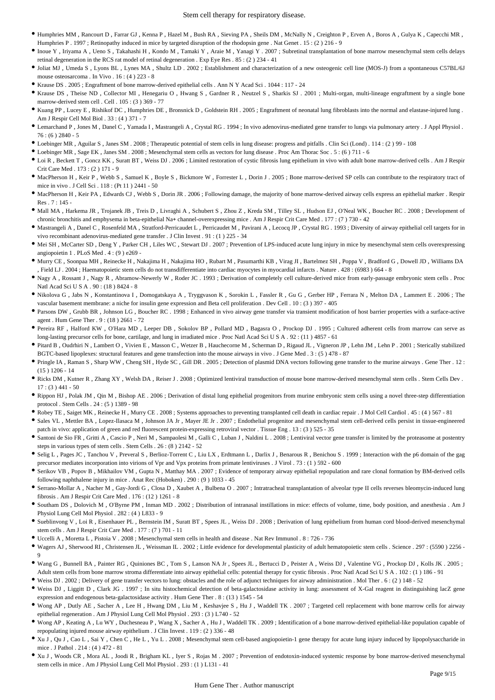- Humphries MM , Rancourt D , Farrar GJ , Kenna P , Hazel M , Bush RA , Sieving PA , Sheils DM , McNally N , Creighton P , Erven A , Boros A , Gulya K , Capecchi MR , Humphries P . 1997 ; Retinopathy induced in mice by targeted disruption of the rhodopsin gene . Nat Genet . 15 : (2 ) 216 - 9
- Inoue Y , Iriyama A , Ueno S , Takahashi H , Kondo M , Tamaki Y , Araie M , Yanagi Y . 2007 ; Subretinal transplantation of bone marrow mesenchymal stem cells delays retinal degeneration in the RCS rat model of retinal degeneration . Exp Eye Res . 85 : (2 ) 234 - 41
- Joliat MJ , Umeda S , Lyons BL , Lynes MA , Shultz LD . 2002 ; Establishment and characterization of a new osteogenic cell line (MOS-J) from a spontaneous C57BL/6J mouse osteosarcoma . In Vivo . 16 : (4 ) 223 - 8
- Krause DS . 2005 ; Engraftment of bone marrow-derived epithelial cells . Ann N Y Acad Sci . 1044 : 117 24
- Krause DS , Theise ND , Collector MI , Henegariu O , Hwang S , Gardner R , Neutzel S , Sharkis SJ . 2001 ; Multi-organ, multi-lineage engraftment by a single bone marrow-derived stem cell . Cell . 105 : (3 ) 369 - 77
- Kuang PP , Lucey E , Rishikof DC , Humphries DE , Bronsnick D , Goldstein RH . 2005 ; Engraftment of neonatal lung fibroblasts into the normal and elastase-injured lung . Am J Respir Cell Mol Biol . 33 : (4 ) 371 - 7
- Lemarchand P , Jones M , Danel C , Yamada I , Mastrangeli A , Crystal RG . 1994 ; In vivo adenovirus-mediated gene transfer to lungs via pulmonary artery . J Appl Physiol .  $76: (6)$  2840 - 5
- Loebinger MR , Aguilar S , Janes SM . 2008 ; Therapeutic potential of stem cells in lung disease: progress and pitfalls . Clin Sci (Lond) . 114 : (2 ) 99 108
- Loebinger MR , Sage EK , Janes SM . 2008 ; Mesenchymal stem cells as vectors for lung disease . Proc Am Thorac Soc . 5 : (6 ) 711 6
- Loi R , Beckett T , Goncz KK , Suratt BT , Weiss DJ . 2006 ; Limited restoration of cystic fibrosis lung epithelium in vivo with adult bone marrow-derived cells . Am J Respir Crit Care Med . 173 : (2 ) 171 - 9
- MacPherson H , Keir P , Webb S , Samuel K , Boyle S , Bickmore W , Forrester L , Dorin J . 2005 ; Bone marrow-derived SP cells can contribute to the respiratory tract of mice in vivo . J Cell Sci . 118 : (Pt 11 ) 2441 - 50
- MacPherson H , Keir PA , Edwards CJ , Webb S , Dorin JR . 2006 ; Following damage, the majority of bone marrow-derived airway cells express an epithelial marker . Respir Res . 7 : 145 -
- Mall MA , Harkema JR , Trojanek JB , Treis D , Livraghi A , Schubert S , Zhou Z , Kreda SM , Tilley SL , Hudson EJ , O'Neal WK , Boucher RC . 2008 ; Development of chronic bronchitis and emphysema in beta-epithelial Na+ channel-overexpressing mice . Am J Respir Crit Care Med . 177 : (7 ) 730 - 42
- Mastrangeli A , Danel C , Rosenfeld MA , Stratford-Perricaudet L , Perricaudet M , Pavirani A , Lecocq JP , Crystal RG . 1993 ; Diversity of airway epithelial cell targets for in vivo recombinant adenovirus-mediated gene transfer  $\sim$  I Clin Invest  $\sim$  91  $\cdot$  (1) 225 - 34
- Mei SH , McCarter SD , Deng Y , Parker CH , Liles WC , Stewart DJ . 2007 ; Prevention of LPS-induced acute lung injury in mice by mesenchymal stem cells overexpressing angiopoietin 1 . PLoS Med  $4 \cdot (9)$  e269 -
- Murry CE , Soonpaa MH , Reinecke H , Nakajima H , Nakajima HO , Rubart M , Pasumarthi KB , Virag JI , Bartelmez SH , Poppa V , Bradford G , Dowell JD , Williams DA , Field LJ . 2004 ; Haematopoietic stem cells do not transdifferentiate into cardiac myocytes in myocardial infarcts . Nature . 428 : (6983 ) 664 - 8
- Nagy A , Rossant J , Nagy R , Abramow-Newerly W , Roder JC . 1993 ; Derivation of completely cell culture-derived mice from early-passage embryonic stem cells . Proc Natl Acad Sci U S A . 90 : (18 ) 8424 - 8
- $\bullet$  Nikolova G , Jabs N , Konstantinova I , Domogatskaya A , Tryggvason K , Sorokin L , Fassler R , Gu G , Gerber HP , Ferrara N , Melton DA , Lammert E . 2006 ; The vascular basement membrane: a niche for insulin gene expression and Beta cell proliferation . Dev Cell . 10 : (3 ) 397 - 405
- Parsons DW , Grubb BR , Johnson LG , Boucher RC . 1998 ; Enhanced in vivo airway gene transfer via transient modification of host barrier properties with a surface-active agent . Hum Gene Ther . 9 : (18 ) 2661 - 72
- Pereira RF , Halford KW , O'Hara MD , Leeper DB , Sokolov BP , Pollard MD , Bagasra O , Prockop DJ . 1995 ; Cultured adherent cells from marrow can serve as long-lasting precursor cells for bone, cartilage, and lung in irradiated mice . Proc Natl Acad Sci U S A . 92 : (11 ) 4857 - 61
- Pitard B , Oudrhiri N , Lambert O , Vivien E , Masson C , Wetzer B , Hauchecorne M , Scherman D , Rigaud JL , Vigneron JP , Lehn JM , Lehn P . 2001 ; Sterically stabilized BGTC-based lipoplexes: structural features and gene transfection into the mouse airways in vivo . J Gene Med . 3 : (5 ) 478 - 87
- Pringle IA , Raman S , Sharp WW , Cheng SH , Hyde SC , Gill DR . 2005 ; Detection of plasmid DNA vectors following gene transfer to the murine airways . Gene Ther . 12 : (15 ) 1206 - 14
- Ricks DM , Kutner R , Zhang XY, Welsh DA, Reiser J, 2008 ; Optimized lentiviral transduction of mouse bone marrow-derived mesenchymal stem cells . Stem Cells Dev  $17:(3)$  441 - 50
- Rippon HJ , Polak JM , Qin M , Bishop AE . 2006 ; Derivation of distal lung epithelial progenitors from murine embryonic stem cells using a novel three-step differentiation protocol . Stem Cells . 24 : (5 ) 1389 - 98
- Robey TE , Saiget MK , Reinecke H , Murry CE . 2008 ; Systems approaches to preventing transplanted cell death in cardiac repair . J Mol Cell Cardiol . 45 : (4 ) 567 81
- Sales VL , Mettler BA , Lopez-Ilasaca M , Johnson JA Jr , Mayer JE Jr . 2007 ; Endothelial progenitor and mesenchymal stem cell-derived cells persist in tissue-engineered patch in vivo: application of green and red fluorescent protein-expressing retroviral vector . Tissue Eng . 13 : (3 ) 525 - 35
- Santoni de Sio FR , Gritti A , Cascio P , Neri M , Sampaolesi M , Galli C , Luban J , Naldini L . 2008 ; Lentiviral vector gene transfer is limited by the proteasome at postentry steps in various types of stem cells . Stem Cells . 26 : (8 ) 2142 - 52
- Selig L , Pages JC , Tanchou V , Preveral S , Berlioz-Torrent C , Liu LX , Erdtmann L , Darlix J , Benarous R , Benichou S . 1999 ; Interaction with the p6 domain of the gag precursor mediates incorporation into virions of Vpr and Vpx proteins from primate lentiviruses . J Virol . 73 : (1 ) 592 - 600
- Serikov VB , Popov B , Mikhailov VM , Gupta N , Matthay MA . 2007 ; Evidence of temporary airway epithelial repopulation and rare clonal formation by BM-derived cells following naphthalene injury in mice . Anat Rec (Hoboken) . 290 : (9 ) 1033 - 45
- Serrano-Mollar A , Nacher M , Gay-Jordi G , Closa D , Xaubet A , Bulbena O . 2007 ; Intratracheal transplantation of alveolar type II cells reverses bleomycin-induced lung fibrosis . Am J Respir Crit Care Med . 176 : (12 ) 1261 - 8
- Southam DS , Dolovich M , O'Byrne PM , Inman MD . 2002 ; Distribution of intranasal instillations in mice: effects of volume, time, body position, and anesthesia . Am J Physiol Lung Cell Mol Physiol . 282 : (4 ) L833 - 9
- Sueblinvong V , Loi R , Eisenhauer PL , Bernstein IM , Suratt BT , Spees JL , Weiss DJ . 2008 ; Derivation of lung epithelium from human cord blood-derived mesenchymal stem cells . Am J Respir Crit Care Med . 177 : (7 ) 701 - 11
- Uccelli A , Moretta L , Pistoia V . 2008 ; Mesenchymal stem cells in health and disease . Nat Rev Immunol . 8 : 726 736
- Wagers AJ , Sherwood RI , Christensen JL , Weissman IL . 2002 ; Little evidence for developmental plasticity of adult hematopoietic stem cells . Science . 297 : (5590 ) 2256 9
- Wang G , Bunnell BA , Painter RG , Quiniones BC , Tom S , Lanson NA Jr , Spees JL , Bertucci D , Peister A , Weiss DJ , Valentine VG , Prockop DJ , Kolls JK . 2005 ; Adult stem cells from bone marrow stroma differentiate into airway epithelial cells: potential therapy for cystic fibrosis . Proc Natl Acad Sci U S A . 102 : (1 ) 186 - 91
- Weiss DJ . 2002 ; Delivery of gene transfer vectors to lung: obstacles and the role of adjunct techniques for airway administration . Mol Ther . 6 : (2 ) 148 52
- Weiss DJ , Liggitt D , Clark JG . 1997 ; In situ histochemical detection of beta-galactosidase activity in lung: assessment of X-Gal reagent in distinguishing lacZ gene expression and endogenous beta-galactosidase activity . Hum Gene Ther . 8 : (13 ) 1545 - 54
- Wong AP , Dutly AE , Sacher A , Lee H , Hwang DM , Liu M , Keshavjee S , Hu J , Waddell TK . 2007 ; Targeted cell replacement with bone marrow cells for airway epithelial regeneration . Am J Physiol Lung Cell Mol Physiol . 293 : (3 ) L740 - 52
- Wong AP , Keating A , Lu WY , Duchesneau P , Wang X , Sacher A , Hu J , Waddell TK . 2009 ; Identification of a bone marrow-derived epithelial-like population capable of repopulating injured mouse airway epithelium . J Clin Invest . 119 : (2 ) 336 - 48
- \* Xu J , Qu J , Cao L , Sai Y , Chen C , He L , Yu L . 2008 ; Mesenchymal stem cell-based angiopoietin-1 gene therapy for acute lung injury induced by lipopolysaccharide in mice . J Pathol . 214 : (4 ) 472 - 81
- Xu J , Woods CR , Mora AL , Joodi R , Brigham KL , Iyer S , Rojas M . 2007 ; Prevention of endotoxin-induced systemic response by bone marrow-derived mesenchymal stem cells in mice . Am J Physiol Lung Cell Mol Physiol . 293 : (1 ) L131 - 41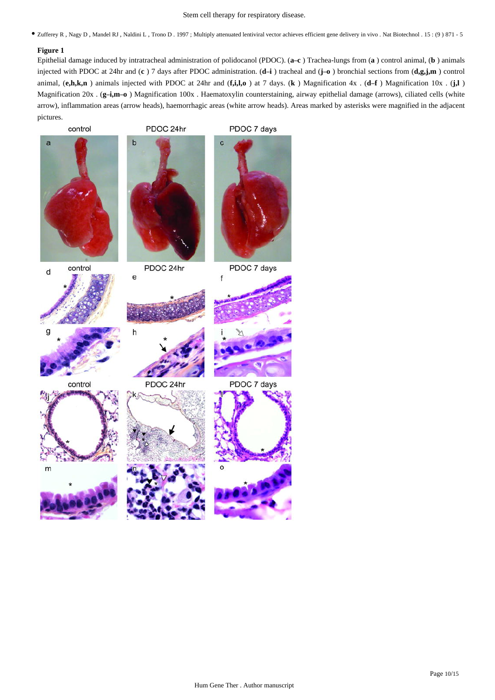Stem cell therapy for respiratory disease.

Zufferey R , Nagy D , Mandel RJ , Naldini L , Trono D . 1997 ; Multiply attenuated lentiviral vector achieves efficient gene delivery in vivo . Nat Biotechnol . 15 : (9 ) 871 - 5

## **Figure 1**

Epithelial damage induced by intratracheal administration of polidocanol (PDOC). (**a**–**c** ) Trachea-lungs from (**a** ) control animal, (**b** ) animals injected with PDOC at 24hr and (**c** ) 7 days after PDOC administration. (**d**–**i** ) tracheal and (**j**–**o** ) bronchial sections from (**d,g,j,m** ) control animal, (**e,h,k,n** ) animals injected with PDOC at 24hr and (**f,i,l,o** ) at 7 days. (**k** ) Magnification 4x . (**d**–**f** ) Magnification 10x . (**j,l** ) Magnification 20x . (**g**–**i,m**–**o** ) Magnification 100x . Haematoxylin counterstaining, airway epithelial damage (arrows), ciliated cells (white arrow), inflammation areas (arrow heads), haemorrhagic areas (white arrow heads). Areas marked by asterisks were magnified in the adjacent pictures.

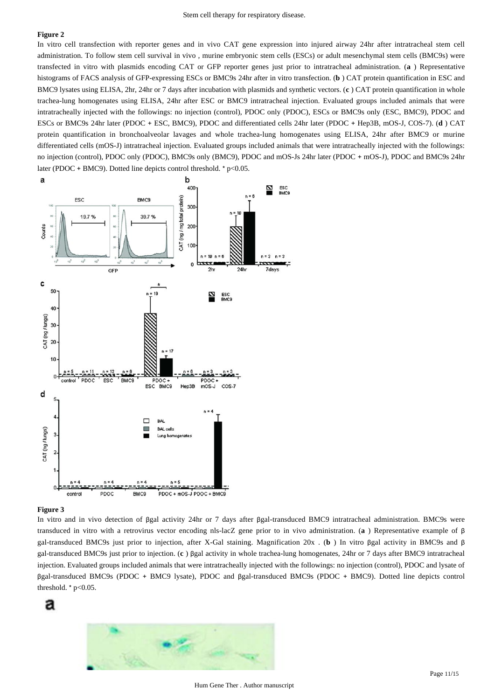In vitro cell transfection with reporter genes and in vivo CAT gene expression into injured airway 24hr after intratracheal stem cell administration. To follow stem cell survival in vivo , murine embryonic stem cells (ESCs) or adult mesenchymal stem cells (BMC9s) were transfected in vitro with plasmids encoding CAT or GFP reporter genes just prior to intratracheal administration. (**a** ) Representative histograms of FACS analysis of GFP-expressing ESCs or BMC9s 24hr after in vitro transfection. (**b** ) CAT protein quantification in ESC and BMC9 lysates using ELISA, 2hr, 24hr or 7 days after incubation with plasmids and synthetic vectors. (**c** ) CAT protein quantification in whole trachea-lung homogenates using ELISA, 24hr after ESC or BMC9 intratracheal injection. Evaluated groups included animals that were intratracheally injected with the followings: no injection (control), PDOC only (PDOC), ESCs or BMC9s only (ESC, BMC9), PDOC and ESCs or BMC9s 24hr later (PDOC + ESC, BMC9), PDOC and differentiated cells 24hr later (PDOC + Hep3B, mOS-J, COS-7). (**d** ) CAT protein quantification in bronchoalveolar lavages and whole trachea-lung homogenates using ELISA, 24hr after BMC9 or murine differentiated cells (mOS-J) intratracheal injection. Evaluated groups included animals that were intratracheally injected with the followings: no injection (control), PDOC only (PDOC), BMC9s only (BMC9), PDOC and mOS-Js 24hr later (PDOC + mOS-J), PDOC and BMC9s 24hr later (PDOC + BMC9). Dotted line depicts control threshold. \*  $p<0.05$ .



#### **Figure 3**

In vitro and in vivo detection of βgal activity 24hr or 7 days after βgal-transduced BMC9 intratracheal administration. BMC9s were transduced in vitro with a retrovirus vector encoding nls-lacZ gene prior to in vivo administration. (**a** ) Representative example of β gal-transduced BMC9s just prior to injection, after X-Gal staining. Magnification 20x . (**b** ) In vitro βgal activity in BMC9s and β gal-transduced BMC9s just prior to injection. (**c** ) βgal activity in whole trachea-lung homogenates, 24hr or 7 days after BMC9 intratracheal injection. Evaluated groups included animals that were intratracheally injected with the followings: no injection (control), PDOC and lysate of βgal-transduced BMC9s (PDOC + BMC9 lysate), PDOC and βgal-transduced BMC9s (PDOC + BMC9). Dotted line depicts control threshold.  $*$  p<0.05.



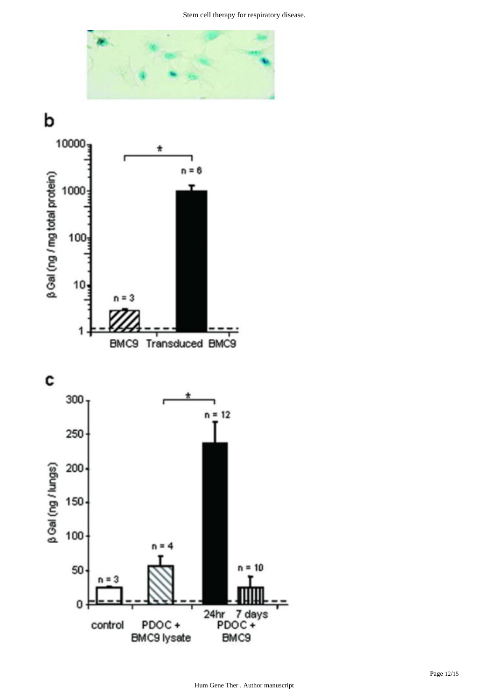

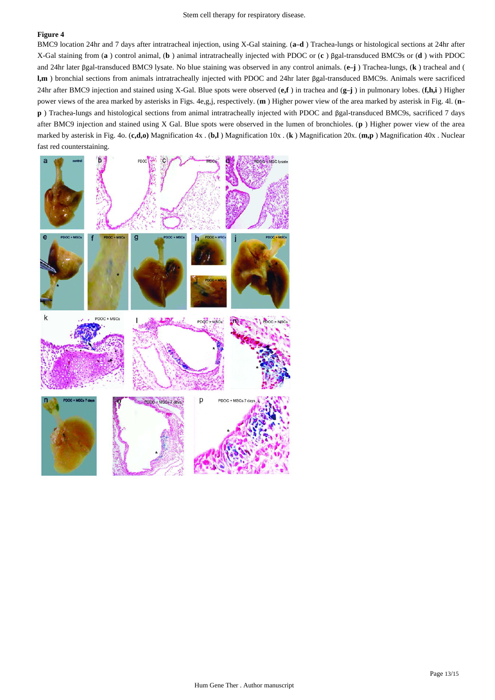BMC9 location 24hr and 7 days after intratracheal injection, using X-Gal staining. (**a**–**d** ) Trachea-lungs or histological sections at 24hr after X-Gal staining from (**a** ) control animal, (**b** ) animal intratracheally injected with PDOC or (**c** ) βgal-transduced BMC9s or (**d** ) with PDOC and 24hr later βgal-transduced BMC9 lysate. No blue staining was observed in any control animals. (**e**–**j** ) Trachea-lungs, (**k** ) tracheal and ( **l,m** ) bronchial sections from animals intratracheally injected with PDOC and 24hr later βgal-transduced BMC9s. Animals were sacrificed 24hr after BMC9 injection and stained using X-Gal. Blue spots were observed (**e,f** ) in trachea and (**g**–**j** ) in pulmonary lobes. (**f,h,i** ) Higher power views of the area marked by asterisks in Figs. 4e,g,j, respectively. (**m** ) Higher power view of the area marked by asterisk in Fig. 4l. (**n**– **p** ) Trachea-lungs and histological sections from animal intratracheally injected with PDOC and βgal-transduced BMC9s, sacrificed 7 days after BMC9 injection and stained using X Gal. Blue spots were observed in the lumen of bronchioles. (**p** ) Higher power view of the area marked by asterisk in Fig. 4o. (**c,d,o)** Magnification 4x . (**b,l** ) Magnification 10x . (**k** ) Magnification 20x. (**m,p** ) Magnification 40x . Nuclear fast red counterstaining.

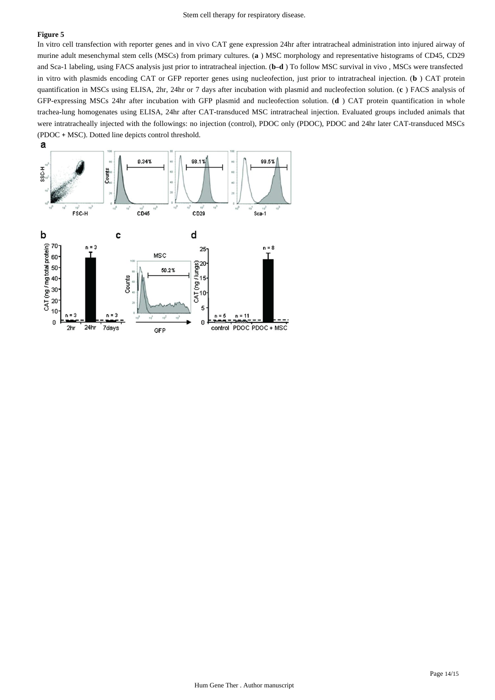In vitro cell transfection with reporter genes and in vivo CAT gene expression 24hr after intratracheal administration into injured airway of murine adult mesenchymal stem cells (MSCs) from primary cultures. (**a** ) MSC morphology and representative histograms of CD45, CD29 and Sca-1 labeling, using FACS analysis just prior to intratracheal injection. (**b**–**d** ) To follow MSC survival in vivo , MSCs were transfected in vitro with plasmids encoding CAT or GFP reporter genes using nucleofection, just prior to intratracheal injection. (**b** ) CAT protein quantification in MSCs using ELISA, 2hr, 24hr or 7 days after incubation with plasmid and nucleofection solution. (**c** ) FACS analysis of GFP-expressing MSCs 24hr after incubation with GFP plasmid and nucleofection solution. (**d** ) CAT protein quantification in whole trachea-lung homogenates using ELISA, 24hr after CAT-transduced MSC intratracheal injection. Evaluated groups included animals that were intratracheally injected with the followings: no injection (control), PDOC only (PDOC), PDOC and 24hr later CAT-transduced MSCs (PDOC + MSC). Dotted line depicts control threshold.